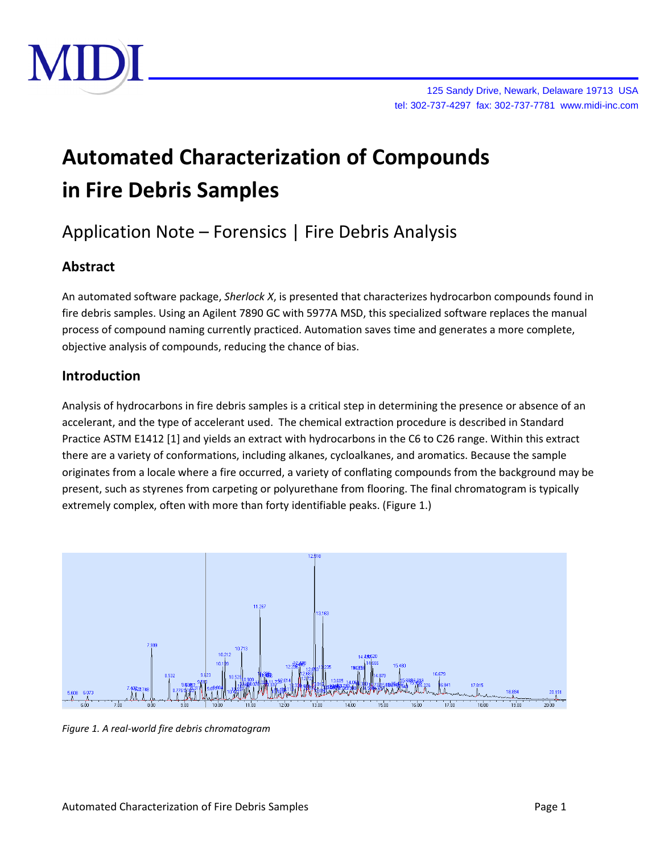

# **Automated Characterization of Compounds in Fire Debris Samples**

# Application Note – Forensics | Fire Debris Analysis

# **Abstract**

An automated software package, *Sherlock X*, is presented that characterizes hydrocarbon compounds found in fire debris samples. Using an Agilent 7890 GC with 5977A MSD, this specialized software replaces the manual process of compound naming currently practiced. Automation saves time and generates a more complete, objective analysis of compounds, reducing the chance of bias.

# **Introduction**

Analysis of hydrocarbons in fire debris samples is a critical step in determining the presence or absence of an accelerant, and the type of accelerant used. The chemical extraction procedure is described in Standard Practice ASTM E1412 [1] and yields an extract with hydrocarbons in the C6 to C26 range. Within this extract there are a variety of conformations, including alkanes, cycloalkanes, and aromatics. Because the sample originates from a locale where a fire occurred, a variety of conflating compounds from the background may be present, such as styrenes from carpeting or polyurethane from flooring. The final chromatogram is typically extremely complex, often with more than forty identifiable peaks. (Figure 1.)



*Figure 1. A real-world fire debris chromatogram*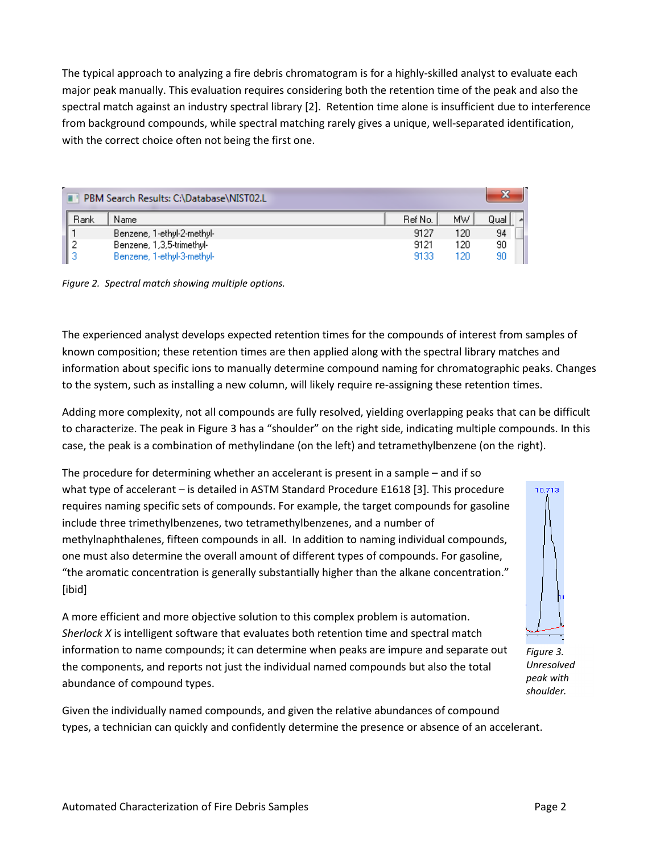The typical approach to analyzing a fire debris chromatogram is for a highly-skilled analyst to evaluate each major peak manually. This evaluation requires considering both the retention time of the peak and also the spectral match against an industry spectral library [2]. Retention time alone is insufficient due to interference from background compounds, while spectral matching rarely gives a unique, well-separated identification, with the correct choice often not being the first one.

| PBM Search Results: C:\Database\NIST02.L |                            |         |      |      |  |
|------------------------------------------|----------------------------|---------|------|------|--|
| Rank                                     | Name                       | Ref No. | MW.  | Qual |  |
|                                          | Benzene, 1-ethyl-2-methyl- | 9127    | 120  | 94   |  |
|                                          | Benzene, 1,3,5-trimethyl-  | 9121    | 120  | 90   |  |
|                                          | Benzene, 1-ethyl-3-methyl- | 9133    | 120. | 90   |  |

*Figure 2. Spectral match showing multiple options.*

The experienced analyst develops expected retention times for the compounds of interest from samples of known composition; these retention times are then applied along with the spectral library matches and information about specific ions to manually determine compound naming for chromatographic peaks. Changes to the system, such as installing a new column, will likely require re-assigning these retention times.

Adding more complexity, not all compounds are fully resolved, yielding overlapping peaks that can be difficult to characterize. The peak in Figure 3 has a "shoulder" on the right side, indicating multiple compounds. In this case, the peak is a combination of methylindane (on the left) and tetramethylbenzene (on the right).

The procedure for determining whether an accelerant is present in a sample – and if so what type of accelerant – is detailed in ASTM Standard Procedure E1618 [3]. This procedure requires naming specific sets of compounds. For example, the target compounds for gasoline include three trimethylbenzenes, two tetramethylbenzenes, and a number of methylnaphthalenes, fifteen compounds in all. In addition to naming individual compounds, one must also determine the overall amount of different types of compounds. For gasoline, "the aromatic concentration is generally substantially higher than the alkane concentration." [ibid]



A more efficient and more objective solution to this complex problem is automation. *Sherlock X* is intelligent software that evaluates both retention time and spectral match information to name compounds; it can determine when peaks are impure and separate out the components, and reports not just the individual named compounds but also the total abundance of compound types.

*Figure 3. Unresolved peak with shoulder.*

Given the individually named compounds, and given the relative abundances of compound types, a technician can quickly and confidently determine the presence or absence of an accelerant.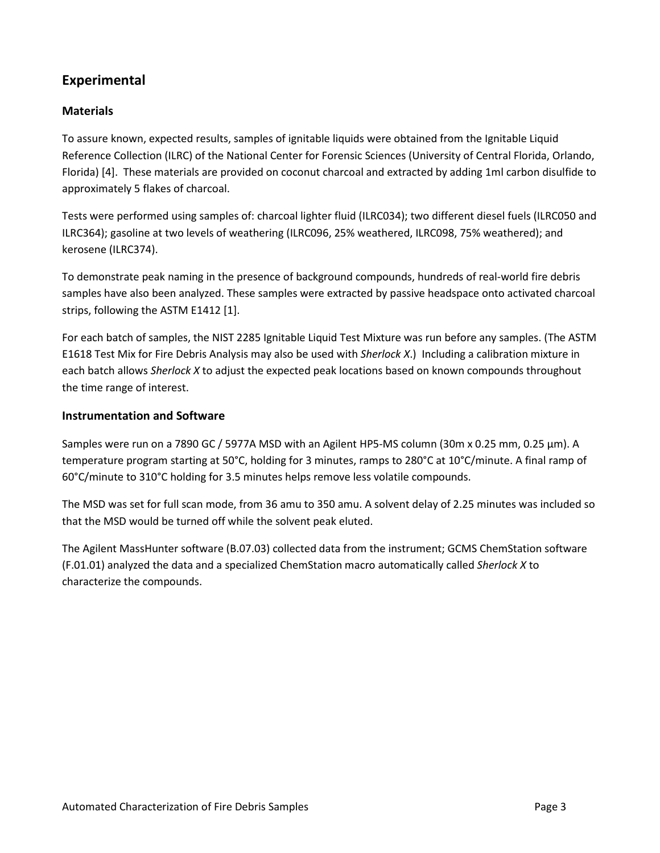# **Experimental**

### **Materials**

To assure known, expected results, samples of ignitable liquids were obtained from the Ignitable Liquid Reference Collection (ILRC) of the National Center for Forensic Sciences (University of Central Florida, Orlando, Florida) [4]. These materials are provided on coconut charcoal and extracted by adding 1ml carbon disulfide to approximately 5 flakes of charcoal.

Tests were performed using samples of: charcoal lighter fluid (ILRC034); two different diesel fuels (ILRC050 and ILRC364); gasoline at two levels of weathering (ILRC096, 25% weathered, ILRC098, 75% weathered); and kerosene (ILRC374).

To demonstrate peak naming in the presence of background compounds, hundreds of real-world fire debris samples have also been analyzed. These samples were extracted by passive headspace onto activated charcoal strips, following the ASTM E1412 [1].

For each batch of samples, the NIST 2285 Ignitable Liquid Test Mixture was run before any samples. (The ASTM E1618 Test Mix for Fire Debris Analysis may also be used with *Sherlock X*.) Including a calibration mixture in each batch allows *Sherlock X* to adjust the expected peak locations based on known compounds throughout the time range of interest.

#### **Instrumentation and Software**

Samples were run on a 7890 GC / 5977A MSD with an Agilent HP5-MS column (30m x 0.25 mm, 0.25 μm). A temperature program starting at 50°C, holding for 3 minutes, ramps to 280°C at 10°C/minute. A final ramp of 60°C/minute to 310°C holding for 3.5 minutes helps remove less volatile compounds.

The MSD was set for full scan mode, from 36 amu to 350 amu. A solvent delay of 2.25 minutes was included so that the MSD would be turned off while the solvent peak eluted.

The Agilent MassHunter software (B.07.03) collected data from the instrument; GCMS ChemStation software (F.01.01) analyzed the data and a specialized ChemStation macro automatically called *Sherlock X* to characterize the compounds.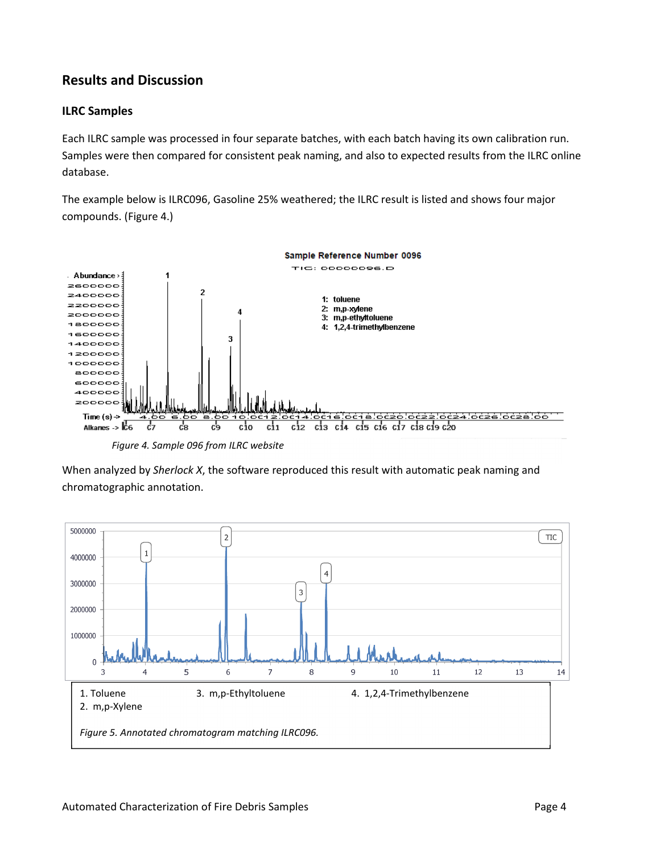# **Results and Discussion**

#### **ILRC Samples**

Each ILRC sample was processed in four separate batches, with each batch having its own calibration run. Samples were then compared for consistent peak naming, and also to expected results from the ILRC online database.

The example below is ILRC096, Gasoline 25% weathered; the ILRC result is listed and shows four major compounds. (Figure 4.)



*Figure 4. Sample 096 from ILRC website*

When analyzed by *Sherlock X*, the software reproduced this result with automatic peak naming and chromatographic annotation.

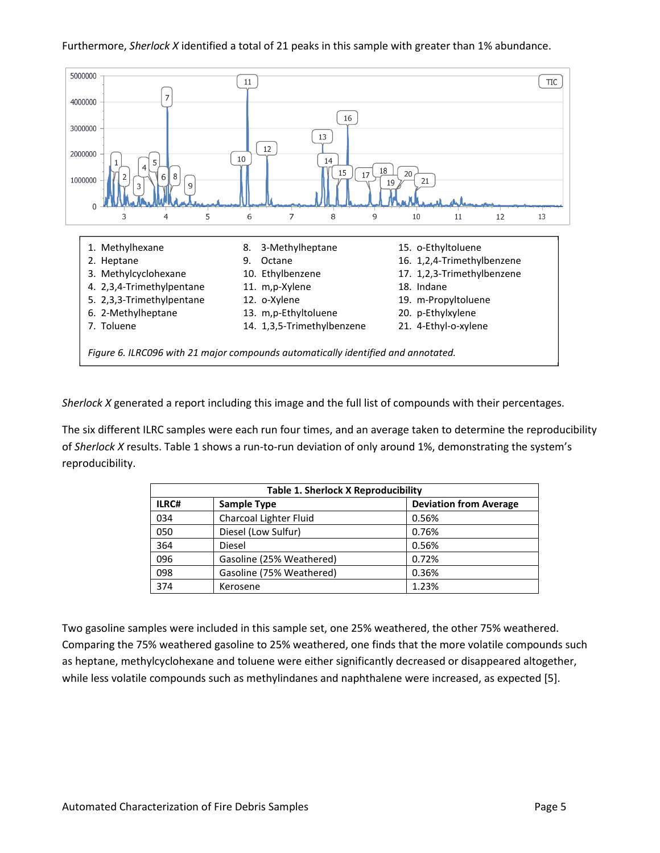#### Furthermore, *Sherlock X* identified a total of 21 peaks in this sample with greater than 1% abundance.



*Sherlock X* generated a report including this image and the full list of compounds with their percentages.

The six different ILRC samples were each run four times, and an average taken to determine the reproducibility of *Sherlock X* results. Table 1 shows a run-to-run deviation of only around 1%, demonstrating the system's reproducibility.

| <b>Table 1. Sherlock X Reproducibility</b> |                          |                               |  |  |
|--------------------------------------------|--------------------------|-------------------------------|--|--|
| ILRC#                                      | <b>Sample Type</b>       | <b>Deviation from Average</b> |  |  |
| 034                                        | Charcoal Lighter Fluid   | 0.56%                         |  |  |
| 050                                        | Diesel (Low Sulfur)      | 0.76%                         |  |  |
| 364                                        | <b>Diesel</b>            | 0.56%                         |  |  |
| 096                                        | Gasoline (25% Weathered) | 0.72%                         |  |  |
| 098                                        | Gasoline (75% Weathered) | 0.36%                         |  |  |
| 374                                        | Kerosene                 | 1.23%                         |  |  |

Two gasoline samples were included in this sample set, one 25% weathered, the other 75% weathered. Comparing the 75% weathered gasoline to 25% weathered, one finds that the more volatile compounds such as heptane, methylcyclohexane and toluene were either significantly decreased or disappeared altogether, while less volatile compounds such as methylindanes and naphthalene were increased, as expected [5].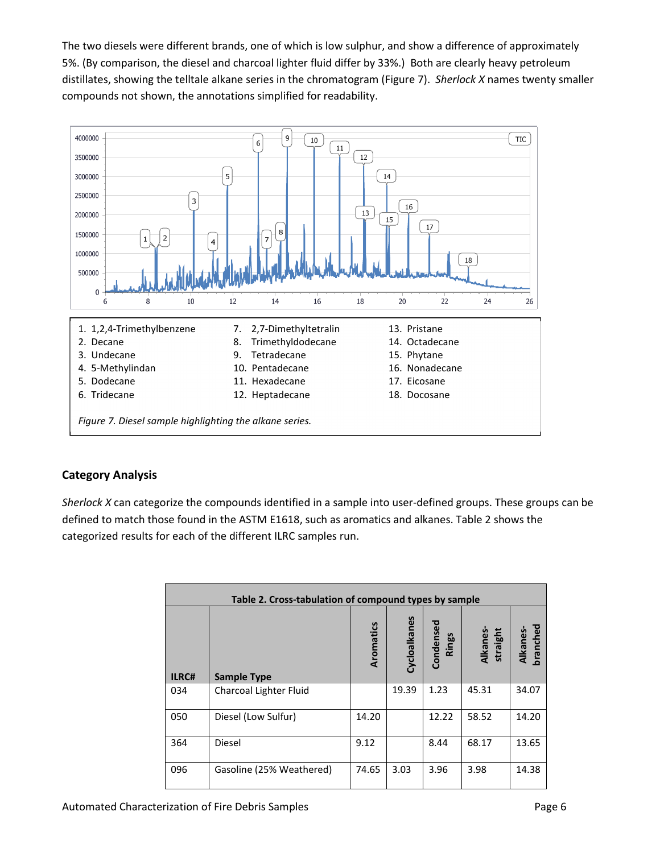The two diesels were different brands, one of which is low sulphur, and show a difference of approximately 5%. (By comparison, the diesel and charcoal lighter fluid differ by 33%.) Both are clearly heavy petroleum distillates, showing the telltale alkane series in the chromatogram (Figure 7). *Sherlock X* names twenty smaller compounds not shown, the annotations simplified for readability.



#### **Category Analysis**

*Sherlock X* can categorize the compounds identified in a sample into user-defined groups. These groups can be defined to match those found in the ASTM E1618, such as aromatics and alkanes. Table 2 shows the categorized results for each of the different ILRC samples run.

| Table 2. Cross-tabulation of compound types by sample |                          |           |              |                    |                      |                      |
|-------------------------------------------------------|--------------------------|-----------|--------------|--------------------|----------------------|----------------------|
| ILRC#                                                 | <b>Sample Type</b>       | Aromatics | Cycloalkanes | Condensed<br>Rings | Alkanes-<br>straight | branched<br>Alkanes- |
| 034                                                   | Charcoal Lighter Fluid   |           | 19.39        | 1.23               | 45.31                | 34.07                |
| 050                                                   | Diesel (Low Sulfur)      | 14.20     |              | 12.22              | 58.52                | 14.20                |
| 364                                                   | Diesel                   | 9.12      |              | 8.44               | 68.17                | 13.65                |
| 096                                                   | Gasoline (25% Weathered) | 74.65     | 3.03         | 3.96               | 3.98                 | 14.38                |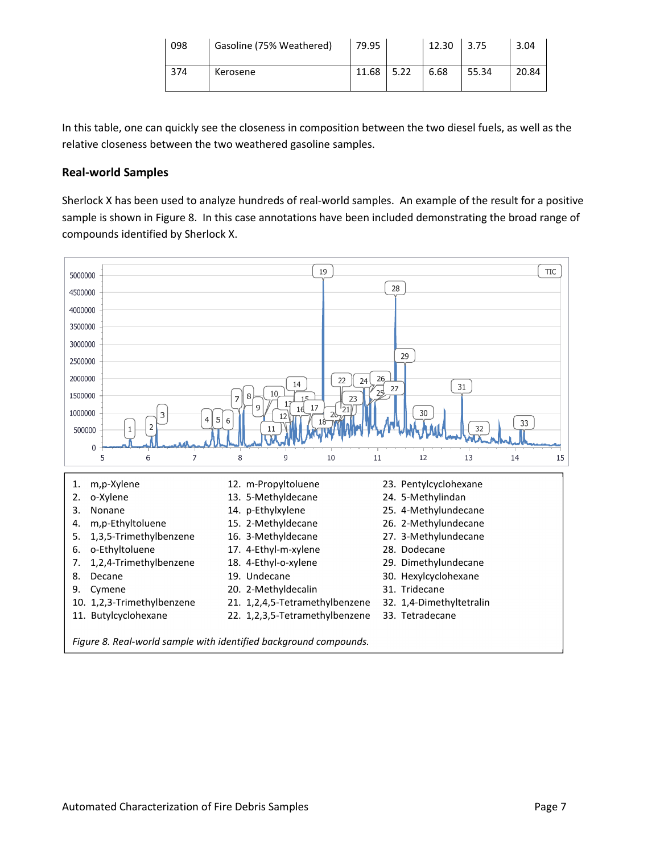| 098 | Gasoline (75% Weathered) | 79.95 |      | 12.30 | 3.75  | 3.04  |
|-----|--------------------------|-------|------|-------|-------|-------|
| 374 | Kerosene                 | 11.68 | 5.22 | 6.68  | 55.34 | 20.84 |

In this table, one can quickly see the closeness in composition between the two diesel fuels, as well as the relative closeness between the two weathered gasoline samples.

#### **Real-world Samples**

Sherlock X has been used to analyze hundreds of real-world samples. An example of the result for a positive sample is shown in Figure 8. In this case annotations have been included demonstrating the broad range of compounds identified by Sherlock X.



*Figure 8. Real-world sample with identified background compounds.*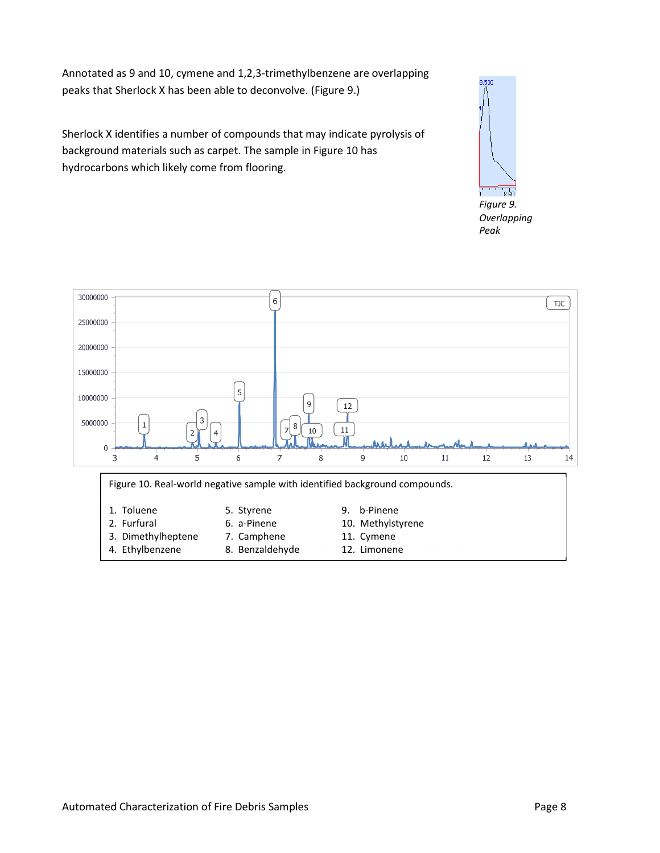Annotated as 9 and 10, cymene and 1,2,3-trimethylbenzene are overlapping peaks that Sherlock X has been able to deconvolve. (Figure 9.)

Sherlock X identifies a number of compounds that may indicate pyrolysis of background materials such as carpet. The sample in Figure 10 has hydrocarbons which likely come from flooring.



*Overlapping Peak*



- -
- 
- 
- 
- 2. Furfural 6. a-Pinene 10. Methylstyrene
- 3. Dimethylheptene 7. Camphene 11. Cymene
- 4. Ethylbenzene 8. Benzaldehyde 12. Limonene